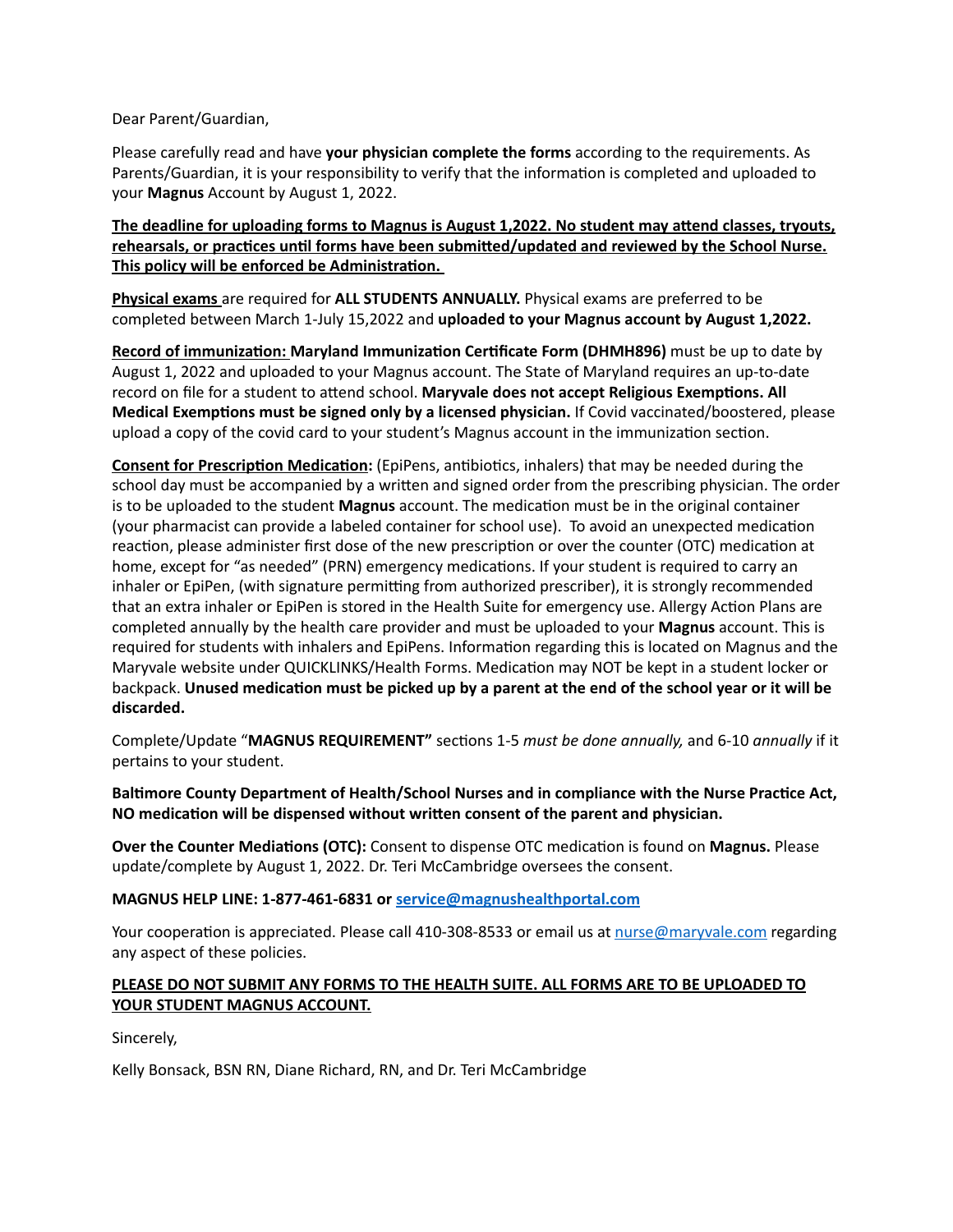Dear Parent/Guardian,

Please carefully read and have **your physician complete the forms** according to the requirements. As Parents/Guardian, it is your responsibility to verify that the information is completed and uploaded to your **Magnus** Account by August 1, 2022.

**The deadline for uploading forms to Magnus is August 1,2022. No student may attend classes, tryouts, rehearsals, or practices until forms have been submitted/updated and reviewed by the School Nurse. This policy will be enforced be Administration.** 

**Physical exams** are required for **ALL STUDENTS ANNUALLY.** Physical exams are preferred to be completed between March 1-July 15,2022 and **uploaded to your Magnus account by August 1,2022.**

**Record of immunization: Maryland Immunization Certificate Form (DHMH896)** must be up to date by August 1, 2022 and uploaded to your Magnus account. The State of Maryland requires an up-to-date record on file for a student to attend school. **Maryvale does not accept Religious Exemptions. All Medical Exemptions must be signed only by a licensed physician.** If Covid vaccinated/boostered, please upload a copy of the covid card to your student's Magnus account in the immunization section.

**Consent for Prescription Medication:** (EpiPens, antibiotics, inhalers) that may be needed during the school day must be accompanied by a written and signed order from the prescribing physician. The order is to be uploaded to the student **Magnus** account. The medication must be in the original container (your pharmacist can provide a labeled container for school use). To avoid an unexpected medication reaction, please administer first dose of the new prescription or over the counter (OTC) medication at home, except for "as needed" (PRN) emergency medications. If your student is required to carry an inhaler or EpiPen, (with signature permitting from authorized prescriber), it is strongly recommended that an extra inhaler or EpiPen is stored in the Health Suite for emergency use. Allergy Action Plans are completed annually by the health care provider and must be uploaded to your **Magnus** account. This is required for students with inhalers and EpiPens. Information regarding this is located on Magnus and the Maryvale website under QUICKLINKS/Health Forms. Medication may NOT be kept in a student locker or backpack. **Unused medication must be picked up by a parent at the end of the school year or it will be discarded.** 

Complete/Update "**MAGNUS REQUIREMENT"** sections 1-5 *must be done annually,* and 6-10 *annually* if it pertains to your student.

**Baltimore County Department of Health/School Nurses and in compliance with the Nurse Practice Act, NO medication will be dispensed without written consent of the parent and physician.**

**Over the Counter Mediations (OTC):** Consent to dispense OTC medication is found on **Magnus.** Please update/complete by August 1, 2022. Dr. Teri McCambridge oversees the consent.

#### **MAGNUS HELP LINE: 1-877-461-6831 or [service@magnushealthportal.com](mailto:service@magnushealthportal.com)**

Your cooperation is appreciated. Please call 410-308-8533 or email us at [nurse@maryvale.com](mailto:nurse@maryvale.com) regarding any aspect of these policies.

#### **PLEASE DO NOT SUBMIT ANY FORMS TO THE HEALTH SUITE. ALL FORMS ARE TO BE UPLOADED TO YOUR STUDENT MAGNUS ACCOUNT.**

Sincerely,

Kelly Bonsack, BSN RN, Diane Richard, RN, and Dr. Teri McCambridge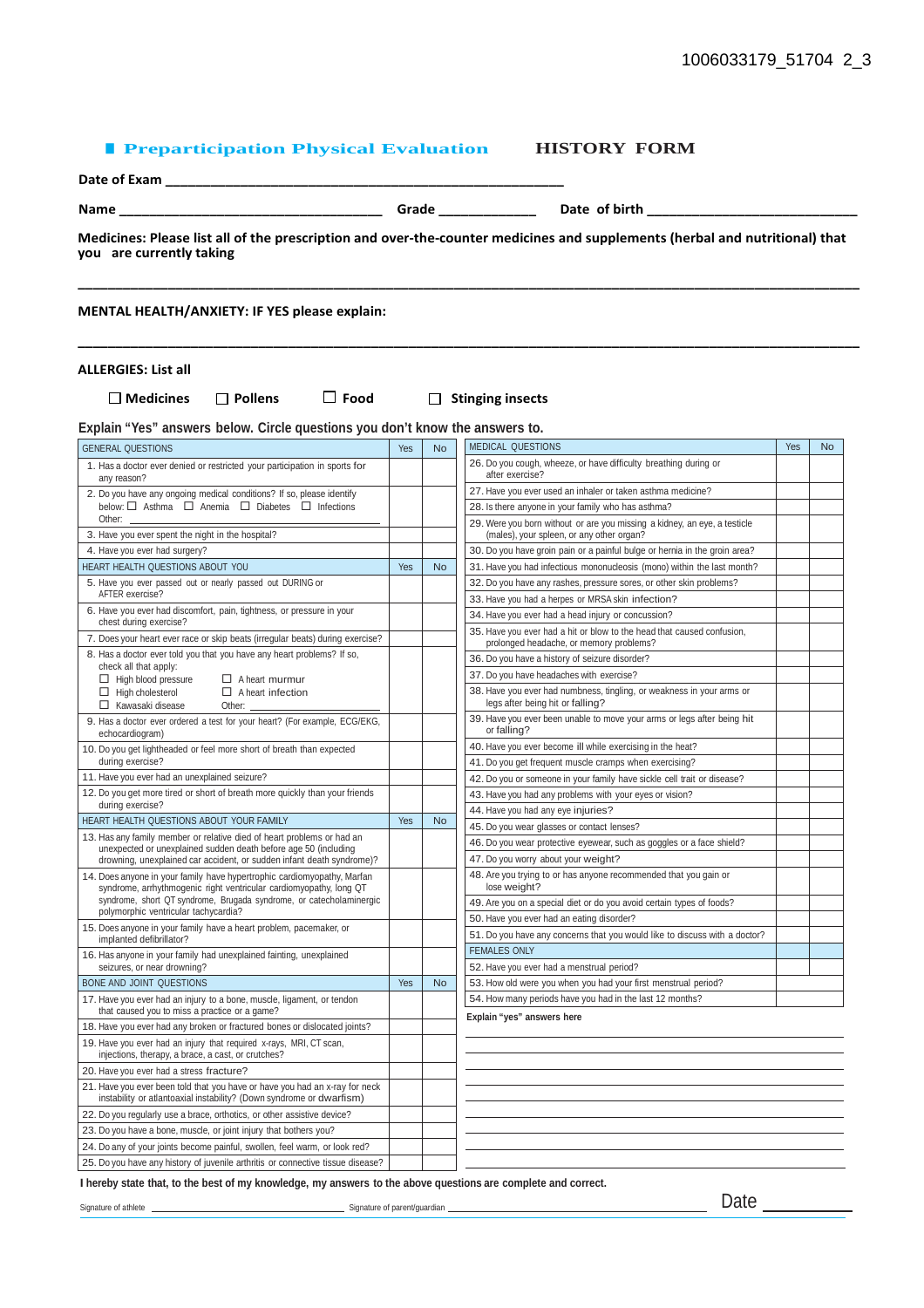#### ■ **Preparticipation Physical Evaluation HISTORY FORM**

| Date of Exam |  |
|--------------|--|
|              |  |

**Name \_\_\_\_\_\_\_\_\_\_\_\_\_\_\_\_\_\_\_\_\_\_\_\_\_\_\_\_\_\_\_\_\_\_\_ Grade \_\_\_\_\_\_\_\_\_\_\_\_\_ Date of birth \_\_\_\_\_\_\_\_\_\_\_\_\_\_\_\_\_\_\_\_\_\_\_\_\_\_\_\_**

**Medicines: Please list all of the prescription and over-the-counter medicines and supplements (herbal and nutritional) that you are currently taking** 

**\_\_\_\_\_\_\_\_\_\_\_\_\_\_\_\_\_\_\_\_\_\_\_\_\_\_\_\_\_\_\_\_\_\_\_\_\_\_\_\_\_\_\_\_\_\_\_\_\_\_\_\_\_\_\_\_\_\_\_\_\_\_\_\_\_\_\_\_\_\_\_\_\_\_\_\_\_\_\_\_\_\_\_\_\_\_\_\_\_\_\_\_\_\_\_\_\_\_\_\_\_\_\_\_**

**\_\_\_\_\_\_\_\_\_\_\_\_\_\_\_\_\_\_\_\_\_\_\_\_\_\_\_\_\_\_\_\_\_\_\_\_\_\_\_\_\_\_\_\_\_\_\_\_\_\_\_\_\_\_\_\_\_\_\_\_\_\_\_\_\_\_\_\_\_\_\_\_\_\_\_\_\_\_\_\_\_\_\_\_\_\_\_\_\_\_\_\_\_\_\_\_\_\_\_\_\_\_\_\_**

**MENTAL HEALTH/ANXIETY: IF YES please explain:**

#### **ALLERGIES: List all**

**Medicines Pollens Food Stinging insects**

GENERAL QUESTION **Explain "Yes" answers below. Circle questions you don't know the answers to.**

| <b>GENERAL QUESTIONS</b>                                                                                                                            | Yes | <b>No</b> | <b>MEDICAL QUESTIONS</b>                                                                                               | Yes | <b>No</b> |
|-----------------------------------------------------------------------------------------------------------------------------------------------------|-----|-----------|------------------------------------------------------------------------------------------------------------------------|-----|-----------|
| 1. Has a doctor ever denied or restricted your participation in sports for<br>any reason?                                                           |     |           | 26. Do you cough, wheeze, or have difficulty breathing during or<br>after exercise?                                    |     |           |
| 2. Do you have any ongoing medical conditions? If so, please identify                                                                               |     |           | 27. Have you ever used an inhaler or taken asthma medicine?                                                            |     |           |
| below: □ Asthma □ Anemia □ Diabetes □ Infections                                                                                                    |     |           | 28. Is there anyone in your family who has asthma?                                                                     |     |           |
| Other:<br>3. Have you ever spent the night in the hospital?                                                                                         |     |           | 29. Were you born without or are you missing a kidney, an eye, a testicle<br>(males), your spleen, or any other organ? |     |           |
| 4. Have you ever had surgery?                                                                                                                       |     |           | 30. Do you have groin pain or a painful bulge or hernia in the groin area?                                             |     |           |
| HEART HEALTH QUESTIONS ABOUT YOU                                                                                                                    | Yes | <b>No</b> | 31. Have you had infectious mononucleosis (mono) within the last month?                                                |     |           |
| 5. Have you ever passed out or nearly passed out DURING or                                                                                          |     |           | 32. Do you have any rashes, pressure sores, or other skin problems?                                                    |     |           |
| AFTER exercise?                                                                                                                                     |     |           | 33. Have you had a herpes or MRSA skin infection?                                                                      |     |           |
| 6. Have you ever had discomfort, pain, tightness, or pressure in your<br>chest during exercise?                                                     |     |           | 34. Have you ever had a head injury or concussion?                                                                     |     |           |
| 7. Does your heart ever race or skip beats (irregular beats) during exercise?                                                                       |     |           | 35. Have you ever had a hit or blow to the head that caused confusion,<br>prolonged headache, or memory problems?      |     |           |
| 8. Has a doctor ever told you that you have any heart problems? If so,                                                                              |     |           | 36. Do you have a history of seizure disorder?                                                                         |     |           |
| check all that apply:<br>$\Box$ High blood pressure<br>$\Box$ A heart murmur                                                                        |     |           | 37. Do you have headaches with exercise?                                                                               |     |           |
| $\Box$ High cholesterol<br>$\Box$ A heart infection<br>$\Box$ Kawasaki disease<br>Other:                                                            |     |           | 38. Have you ever had numbness, tingling, or weakness in your arms or<br>legs after being hit or falling?              |     |           |
| 9. Has a doctor ever ordered a test for your heart? (For example, ECG/EKG,<br>echocardiogram)                                                       |     |           | 39. Have you ever been unable to move your arms or legs after being hit<br>or falling?                                 |     |           |
| 10. Do you get lightheaded or feel more short of breath than expected                                                                               |     |           | 40. Have you ever become ill while exercising in the heat?                                                             |     |           |
| during exercise?                                                                                                                                    |     |           | 41. Do you get frequent muscle cramps when exercising?                                                                 |     |           |
| 11. Have you ever had an unexplained seizure?                                                                                                       |     |           | 42. Do you or someone in your family have sickle cell trait or disease?                                                |     |           |
| 12. Do you get more tired or short of breath more quickly than your friends                                                                         |     |           | 43. Have you had any problems with your eyes or vision?                                                                |     |           |
| during exercise?                                                                                                                                    |     |           | 44. Have you had any eye injuries?                                                                                     |     |           |
| HEART HEALTH QUESTIONS ABOUT YOUR FAMILY                                                                                                            | Yes | <b>No</b> | 45. Do you wear glasses or contact lenses?                                                                             |     |           |
| 13. Has any family member or relative died of heart problems or had an<br>unexpected or unexplained sudden death before age 50 (including           |     |           | 46. Do you wear protective eyewear, such as goggles or a face shield?                                                  |     |           |
| drowning, unexplained car accident, or sudden infant death syndrome)?                                                                               |     |           | 47. Do you worry about your weight?                                                                                    |     |           |
| 14. Does anyone in your family have hypertrophic cardiomyopathy, Marfan<br>syndrome, arrhythmogenic right ventricular cardiomyopathy, long QT       |     |           | 48. Are you trying to or has anyone recommended that you gain or<br>lose weight?                                       |     |           |
| syndrome, short QT syndrome, Brugada syndrome, or catecholaminergic                                                                                 |     |           | 49. Are you on a special diet or do you avoid certain types of foods?                                                  |     |           |
| polymorphic ventricular tachycardia?                                                                                                                |     |           | 50. Have you ever had an eating disorder?                                                                              |     |           |
| 15. Does anyone in your family have a heart problem, pacemaker, or<br>implanted defibrillator?                                                      |     |           | 51. Do you have any concerns that you would like to discuss with a doctor?                                             |     |           |
| 16. Has anyone in your family had unexplained fainting, unexplained                                                                                 |     |           | <b>FEMALES ONLY</b>                                                                                                    |     |           |
| seizures, or near drowning?                                                                                                                         |     |           | 52. Have you ever had a menstrual period?                                                                              |     |           |
| BONE AND JOINT QUESTIONS                                                                                                                            | Yes | <b>No</b> | 53. How old were you when you had your first menstrual period?                                                         |     |           |
| 17. Have you ever had an injury to a bone, muscle, ligament, or tendon<br>that caused you to miss a practice or a game?                             |     |           | 54. How many periods have you had in the last 12 months?<br>Explain "yes" answers here                                 |     |           |
| 18. Have you ever had any broken or fractured bones or dislocated joints?                                                                           |     |           |                                                                                                                        |     |           |
| 19. Have you ever had an injury that required x-rays, MRI, CT scan,<br>injections, therapy, a brace, a cast, or crutches?                           |     |           |                                                                                                                        |     |           |
| 20. Have you ever had a stress fracture?                                                                                                            |     |           |                                                                                                                        |     |           |
| 21. Have you ever been told that you have or have you had an x-ray for neck<br>instability or atlantoaxial instability? (Down syndrome or dwarfism) |     |           |                                                                                                                        |     |           |
| 22. Do you regularly use a brace, orthotics, or other assistive device?                                                                             |     |           |                                                                                                                        |     |           |
| 23. Do you have a bone, muscle, or joint injury that bothers you?                                                                                   |     |           |                                                                                                                        |     |           |
| 24. Do any of your joints become painful, swollen, feel warm, or look red?                                                                          |     |           |                                                                                                                        |     |           |
| 25. Do you have any history of juvenile arthritis or connective tissue disease?                                                                     |     |           |                                                                                                                        |     |           |

I hereby state that, to the best of my knowledge, my answers to the above questions are complete and correct. Signature of athlete **Signature of parent/guardian** Signature of parent/guardian **Signature of parent/guardian** Date Date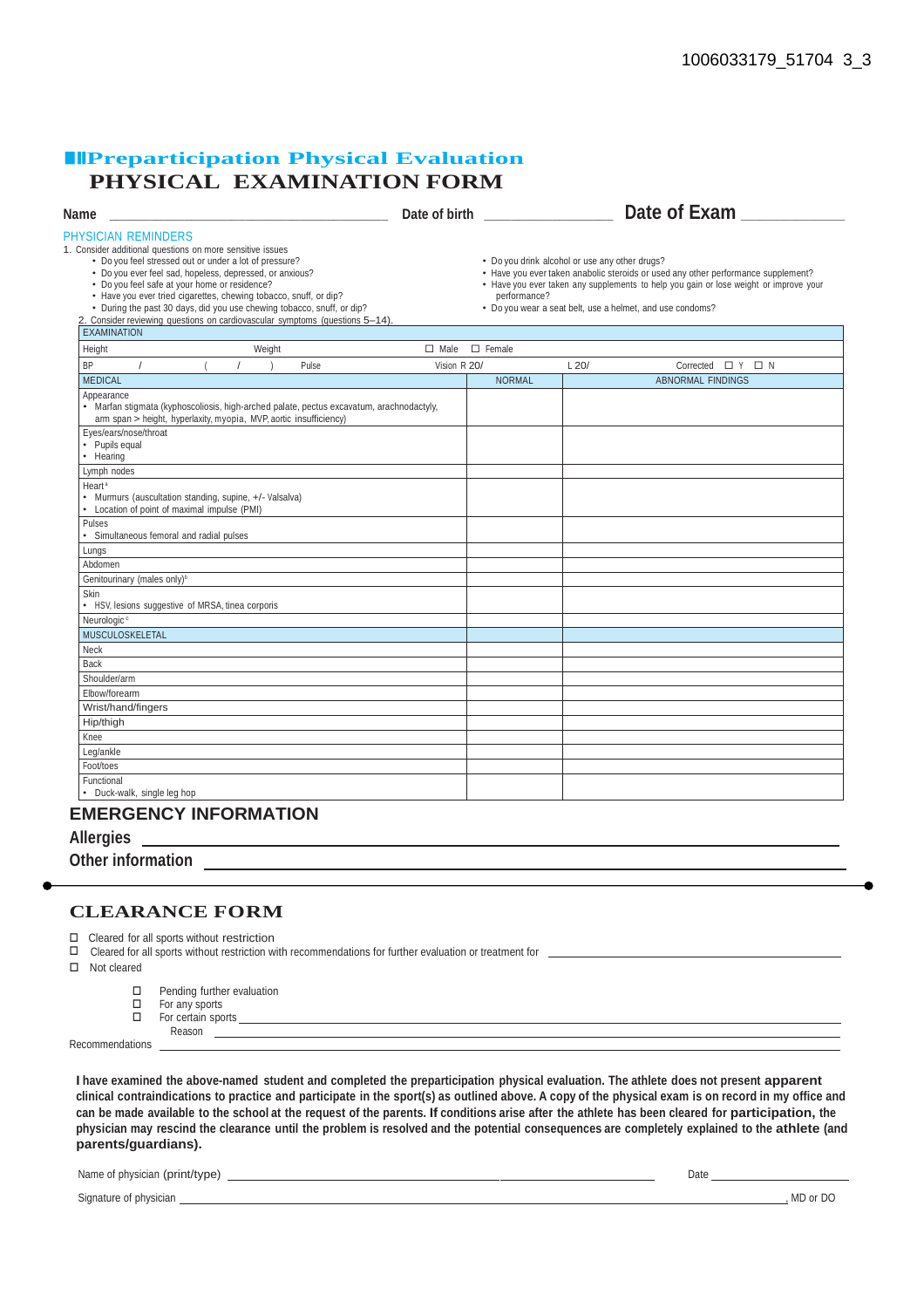#### ■■■**Preparticipation Physical Evaluation PHYSICAL EXAMINATION FORM**

| Name                                                                                                                                                                                                                                                                                                                                                                                                                                                                                                         |              | Date of birth the state of the state of the state of the state of the state of the state of the state of the s |                                                | Date of Exam                                                                                                                                                                                                                            |
|--------------------------------------------------------------------------------------------------------------------------------------------------------------------------------------------------------------------------------------------------------------------------------------------------------------------------------------------------------------------------------------------------------------------------------------------------------------------------------------------------------------|--------------|----------------------------------------------------------------------------------------------------------------|------------------------------------------------|-----------------------------------------------------------------------------------------------------------------------------------------------------------------------------------------------------------------------------------------|
| PHYSICIAN REMINDERS<br>1. Consider additional questions on more sensitive issues<br>• Do you feel stressed out or under a lot of pressure?<br>• Do you ever feel sad, hopeless, depressed, or anxious?<br>• Do you feel safe at your home or residence?<br>• Have you ever tried cigarettes, chewing tobacco, snuff, or dip?<br>• During the past 30 days, did you use chewing tobacco, snuff, or dip?<br>2. Consider reviewing questions on cardiovascular symptoms (questions 5-14).<br><b>EXAMINATION</b> |              | performance?                                                                                                   | • Do you drink alcohol or use any other drugs? | • Have you ever taken anabolic steroids or used any other performance supplement?<br>• Have you ever taken any supplements to help you gain or lose weight or improve your<br>• Do you wear a seat belt, use a helmet, and use condoms? |
| Height<br>Weight                                                                                                                                                                                                                                                                                                                                                                                                                                                                                             | $\Box$ Male  | $\Box$ Female                                                                                                  |                                                |                                                                                                                                                                                                                                         |
| <b>BP</b><br>$\sqrt{2}$<br>Pulse                                                                                                                                                                                                                                                                                                                                                                                                                                                                             | Vision R 20/ |                                                                                                                | L20/                                           | Corrected $\Box$ Y $\Box$ N                                                                                                                                                                                                             |
| <b>MEDICAL</b>                                                                                                                                                                                                                                                                                                                                                                                                                                                                                               |              | <b>NORMAL</b>                                                                                                  |                                                | <b>ABNORMAL FINDINGS</b>                                                                                                                                                                                                                |
| Appearance<br>• Marfan stigmata (kyphoscoliosis, high-arched palate, pectus excavatum, arachnodactyly,<br>arm span > height, hyperlaxity, myopia, MVP, aortic insufficiency)<br>Eyes/ears/nose/throat<br>• Pupils equal                                                                                                                                                                                                                                                                                      |              |                                                                                                                |                                                |                                                                                                                                                                                                                                         |
| • Hearing                                                                                                                                                                                                                                                                                                                                                                                                                                                                                                    |              |                                                                                                                |                                                |                                                                                                                                                                                                                                         |
| Lymph nodes                                                                                                                                                                                                                                                                                                                                                                                                                                                                                                  |              |                                                                                                                |                                                |                                                                                                                                                                                                                                         |
| Heart <sup>a</sup><br>• Murmurs (auscultation standing, supine, +/- Valsalva)<br>Location of point of maximal impulse (PMI)                                                                                                                                                                                                                                                                                                                                                                                  |              |                                                                                                                |                                                |                                                                                                                                                                                                                                         |
| Pulses<br>Simultaneous femoral and radial pulses                                                                                                                                                                                                                                                                                                                                                                                                                                                             |              |                                                                                                                |                                                |                                                                                                                                                                                                                                         |
| Lungs                                                                                                                                                                                                                                                                                                                                                                                                                                                                                                        |              |                                                                                                                |                                                |                                                                                                                                                                                                                                         |
| Abdomen                                                                                                                                                                                                                                                                                                                                                                                                                                                                                                      |              |                                                                                                                |                                                |                                                                                                                                                                                                                                         |
| Genitourinary (males only) <sup>b</sup>                                                                                                                                                                                                                                                                                                                                                                                                                                                                      |              |                                                                                                                |                                                |                                                                                                                                                                                                                                         |
| Skin<br>• HSV, lesions suggestive of MRSA, tinea corporis                                                                                                                                                                                                                                                                                                                                                                                                                                                    |              |                                                                                                                |                                                |                                                                                                                                                                                                                                         |
| Neurologic <sup>c</sup>                                                                                                                                                                                                                                                                                                                                                                                                                                                                                      |              |                                                                                                                |                                                |                                                                                                                                                                                                                                         |
| MUSCULOSKELETAL                                                                                                                                                                                                                                                                                                                                                                                                                                                                                              |              |                                                                                                                |                                                |                                                                                                                                                                                                                                         |
| Neck                                                                                                                                                                                                                                                                                                                                                                                                                                                                                                         |              |                                                                                                                |                                                |                                                                                                                                                                                                                                         |
| <b>Back</b>                                                                                                                                                                                                                                                                                                                                                                                                                                                                                                  |              |                                                                                                                |                                                |                                                                                                                                                                                                                                         |
| Shoulder/arm                                                                                                                                                                                                                                                                                                                                                                                                                                                                                                 |              |                                                                                                                |                                                |                                                                                                                                                                                                                                         |
| Elbow/forearm                                                                                                                                                                                                                                                                                                                                                                                                                                                                                                |              |                                                                                                                |                                                |                                                                                                                                                                                                                                         |
| Wrist/hand/fingers                                                                                                                                                                                                                                                                                                                                                                                                                                                                                           |              |                                                                                                                |                                                |                                                                                                                                                                                                                                         |
| Hip/thigh                                                                                                                                                                                                                                                                                                                                                                                                                                                                                                    |              |                                                                                                                |                                                |                                                                                                                                                                                                                                         |
| Knee                                                                                                                                                                                                                                                                                                                                                                                                                                                                                                         |              |                                                                                                                |                                                |                                                                                                                                                                                                                                         |
| Leg/ankle                                                                                                                                                                                                                                                                                                                                                                                                                                                                                                    |              |                                                                                                                |                                                |                                                                                                                                                                                                                                         |
| Foot/toes                                                                                                                                                                                                                                                                                                                                                                                                                                                                                                    |              |                                                                                                                |                                                |                                                                                                                                                                                                                                         |
| Functional<br>• Duck-walk, single leg hop                                                                                                                                                                                                                                                                                                                                                                                                                                                                    |              |                                                                                                                |                                                |                                                                                                                                                                                                                                         |

#### **EMERGENCY INFORMATION**

**Allergies**

**Other information** 

#### **CLEARANCE FORM**

 $\Box$  Cleared for all sports without restriction  $\Box$  Cleared for all sports without restriction wi

Cleared for all sports without restriction with recommendations for further evaluation or treatment for

□ Not cleared

- $\square$  Pending further evaluation<br> $\square$  For any sports
- $\Box$  For any sports<br> $\Box$  For certain spo
- For certain sports Reason<sub>-</sub>

Recommendations

I have examined the above-named student and completed the preparticipation physical evaluation. The athlete does not present apparent clinical contraindications to practice and participate in the sport(s) as outlined above. A copy of the physical exam is on record in my office and can be made available to the school at the request of the parents. If conditions arise after the athlete has been cleared for participation, the physician may rescind the clearance until the problem is resolved and the potential consequences are completely explained to the athlete (and **parents/guardians).**

Name of physician (print/type) Date

Signature of physician **of the contract of the contract of the contract of the contract of the contract of the contract of the contract of the contract of the contract of the contract of the contract of the contract of the**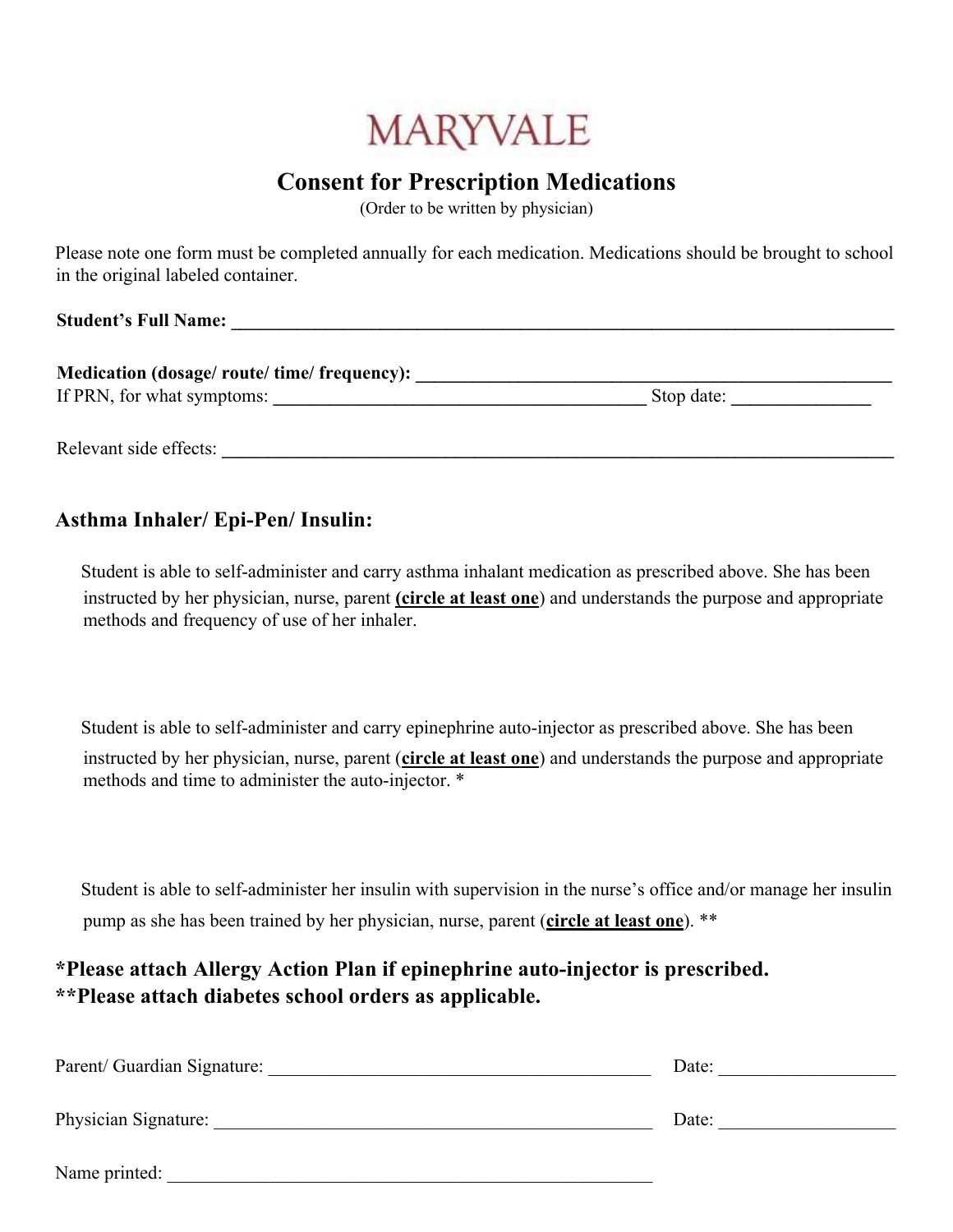# **MARYVALE**

# **Consent for Prescription Medications**

(Order to be written by physician)

Please note one form must be completed annually for each medication. Medications should be brought to school in the original labeled container.

**Student's Full Name: \_\_\_\_\_\_\_\_\_\_\_\_\_\_\_\_\_\_\_\_\_\_\_\_\_\_\_\_\_\_\_\_\_\_\_\_\_\_\_\_\_\_\_\_\_\_\_\_\_\_\_\_\_\_\_\_\_\_\_\_\_\_\_\_\_\_\_\_\_\_\_** 

| Medication (dosage/ route/ time/ frequency): |            |
|----------------------------------------------|------------|
| If PRN, for what symptoms:                   | Stop date: |

Relevant side effects:

### **Asthma Inhaler/ Epi-Pen/ Insulin:**

 Student is able to self-administer and carry asthma inhalant medication as prescribed above. She has been instructed by her physician, nurse, parent **(circle at least one**) and understands the purpose and appropriate methods and frequency of use of her inhaler.

Student is able to self-administer and carry epinephrine auto-injector as prescribed above. She has been instructed by her physician, nurse, parent (**circle at least one**) and understands the purpose and appropriate methods and time to administer the auto-injector. \*

Student is able to self-administer her insulin with supervision in the nurse's office and/or manage her insulin pump as she has been trained by her physician, nurse, parent (**circle at least one**). \*\*

## **\*Please attach Allergy Action Plan if epinephrine auto-injector is prescribed. \*\*Please attach diabetes school orders as applicable.**

| Parent/ Guardian Signature: | Date: |
|-----------------------------|-------|
| Physician Signature:        | Date: |
| Name printed:               |       |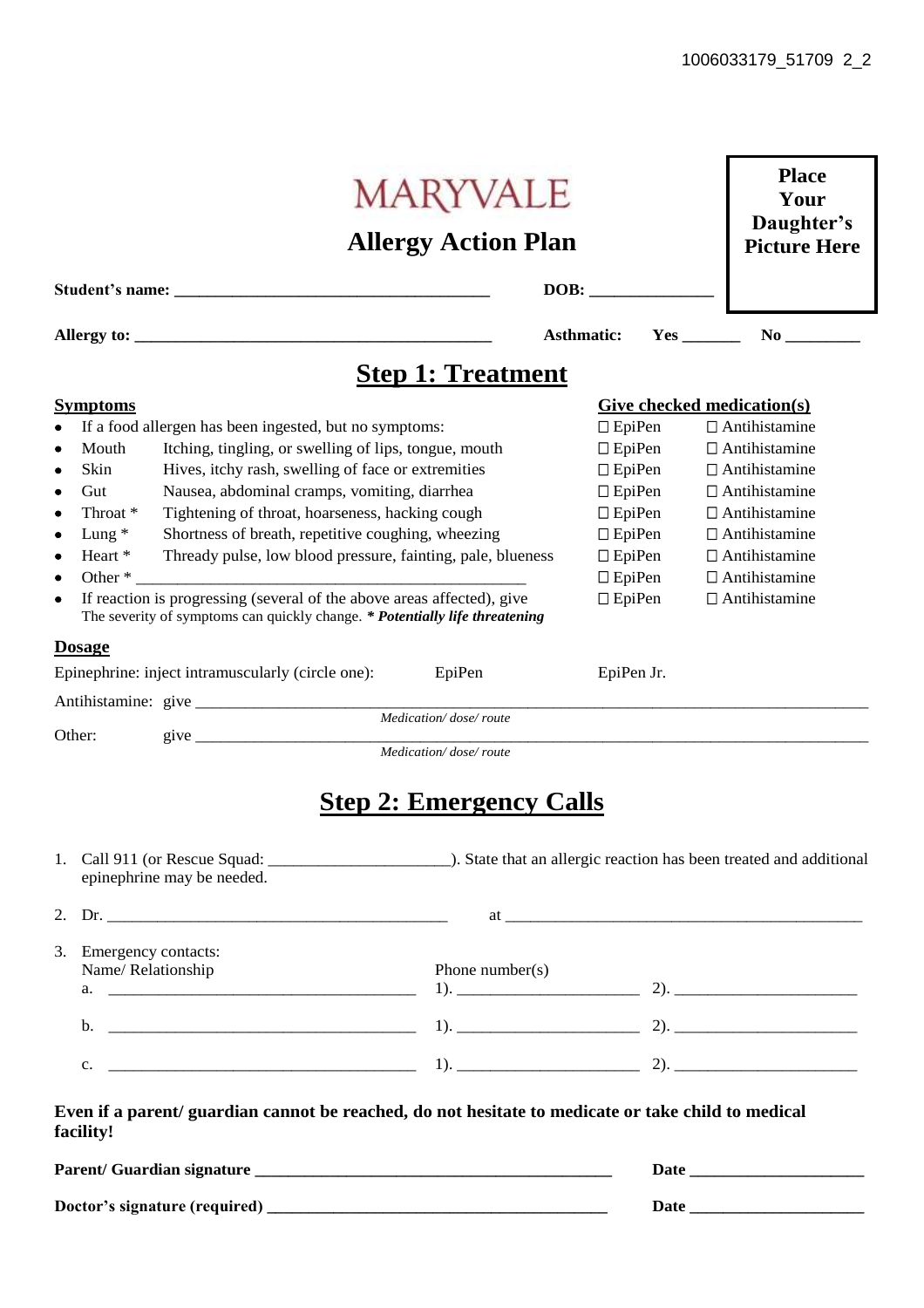|                        |                                                                                                                                                       |                                                       | <b>MARYVALE</b><br><b>Allergy Action Plan</b>                                                      |                   |                                       | <b>Place</b><br>Your<br>Daughter's<br><b>Picture Here</b> |  |  |  |
|------------------------|-------------------------------------------------------------------------------------------------------------------------------------------------------|-------------------------------------------------------|----------------------------------------------------------------------------------------------------|-------------------|---------------------------------------|-----------------------------------------------------------|--|--|--|
|                        |                                                                                                                                                       |                                                       |                                                                                                    | DOB:              |                                       |                                                           |  |  |  |
|                        |                                                                                                                                                       |                                                       |                                                                                                    | <b>Asthmatic:</b> |                                       | Yes                                                       |  |  |  |
|                        |                                                                                                                                                       |                                                       | <b>Step 1: Treatment</b>                                                                           |                   |                                       |                                                           |  |  |  |
| <u>Symptoms</u>        |                                                                                                                                                       |                                                       |                                                                                                    |                   |                                       | <b>Give checked medication(s)</b>                         |  |  |  |
|                        | If a food allergen has been ingested, but no symptoms:                                                                                                |                                                       |                                                                                                    |                   | $\Box$ Antihistamine<br>$\Box$ EpiPen |                                                           |  |  |  |
| Mouth<br>$\bullet$     |                                                                                                                                                       | Itching, tingling, or swelling of lips, tongue, mouth |                                                                                                    | $\Box$ EpiPen     |                                       | $\Box$ Antihistamine                                      |  |  |  |
| Skin<br>$\bullet$      |                                                                                                                                                       | Hives, itchy rash, swelling of face or extremities    |                                                                                                    | $\Box$ EpiPen     |                                       | $\Box$ Antihistamine                                      |  |  |  |
| $\bullet$<br>Gut       |                                                                                                                                                       | Nausea, abdominal cramps, vomiting, diarrhea          |                                                                                                    | $\Box$ EpiPen     |                                       | $\Box$ Antihistamine                                      |  |  |  |
| Throat *<br>$\bullet$  |                                                                                                                                                       | Tightening of throat, hoarseness, hacking cough       |                                                                                                    | $\Box$ EpiPen     |                                       | $\Box$ Antihistamine                                      |  |  |  |
| Lung $*$<br>$\bullet$  |                                                                                                                                                       | Shortness of breath, repetitive coughing, wheezing    |                                                                                                    | $\Box$ EpiPen     |                                       | $\Box$ Antihistamine                                      |  |  |  |
| $\bullet$<br>Heart *   |                                                                                                                                                       |                                                       | Thready pulse, low blood pressure, fainting, pale, blueness                                        | $\Box$ EpiPen     |                                       | $\Box$ Antihistamine                                      |  |  |  |
| Other *<br>$\bullet$   |                                                                                                                                                       |                                                       |                                                                                                    | $\Box$ EpiPen     |                                       | $\Box$ Antihistamine                                      |  |  |  |
| ٠                      | If reaction is progressing (several of the above areas affected), give<br>The severity of symptoms can quickly change. * Potentially life threatening |                                                       |                                                                                                    | $\Box$ EpiPen     |                                       | $\Box$ Antihistamine                                      |  |  |  |
| <u>Dosage</u>          |                                                                                                                                                       |                                                       |                                                                                                    |                   |                                       |                                                           |  |  |  |
|                        | Epinephrine: inject intramuscularly (circle one):                                                                                                     |                                                       | EpiPen                                                                                             | EpiPen Jr.        |                                       |                                                           |  |  |  |
|                        |                                                                                                                                                       |                                                       |                                                                                                    |                   |                                       |                                                           |  |  |  |
|                        |                                                                                                                                                       |                                                       | Medication/dose/route                                                                              |                   |                                       |                                                           |  |  |  |
| Other:                 | give $\qquad$                                                                                                                                         |                                                       | Medication/dose/route                                                                              |                   |                                       |                                                           |  |  |  |
|                        | epinephrine may be needed.                                                                                                                            |                                                       | <b>Step 2: Emergency Calls</b>                                                                     |                   |                                       |                                                           |  |  |  |
|                        |                                                                                                                                                       |                                                       |                                                                                                    |                   |                                       |                                                           |  |  |  |
| 3. Emergency contacts: |                                                                                                                                                       |                                                       |                                                                                                    |                   |                                       |                                                           |  |  |  |
|                        | Name/Relationship                                                                                                                                     |                                                       | Phone number( $s$ )                                                                                |                   |                                       |                                                           |  |  |  |
|                        |                                                                                                                                                       |                                                       |                                                                                                    |                   |                                       |                                                           |  |  |  |
|                        |                                                                                                                                                       |                                                       |                                                                                                    |                   |                                       |                                                           |  |  |  |
|                        |                                                                                                                                                       |                                                       |                                                                                                    |                   |                                       |                                                           |  |  |  |
| facility!              |                                                                                                                                                       |                                                       | Even if a parent/ guardian cannot be reached, do not hesitate to medicate or take child to medical |                   |                                       |                                                           |  |  |  |
|                        |                                                                                                                                                       |                                                       |                                                                                                    |                   |                                       |                                                           |  |  |  |
|                        |                                                                                                                                                       |                                                       |                                                                                                    |                   |                                       |                                                           |  |  |  |